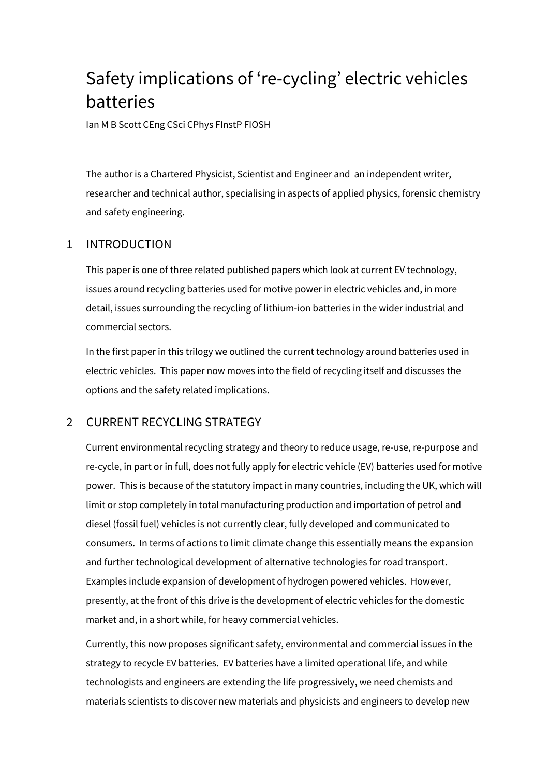# Safety implications of 're-cycling' electric vehicles batteries

Ian M B Scott CEng CSci CPhys FInstP FIOSH

The author is a Chartered Physicist, Scientist and Engineer and an independent writer, researcher and technical author, specialising in aspects of applied physics, forensic chemistry and safety engineering.

# 1 INTRODUCTION

This paper is one of three related published papers which look at current EV technology, issues around recycling batteries used for motive power in electric vehicles and, in more detail, issues surrounding the recycling of lithium-ion batteries in the wider industrial and commercial sectors.

In the first paper in this trilogy we outlined the current technology around batteries used in electric vehicles. This paper now moves into the field of recycling itself and discusses the options and the safety related implications.

# 2 CURRENT RECYCLING STRATEGY

Current environmental recycling strategy and theory to reduce usage, re-use, re-purpose and re-cycle, in part or in full, does not fully apply for electric vehicle (EV) batteries used for motive power. This is because of the statutory impact in many countries, including the UK, which will limit or stop completely in total manufacturing production and importation of petrol and diesel (fossil fuel) vehicles is not currently clear, fully developed and communicated to consumers. In terms of actions to limit climate change this essentially means the expansion and further technological development of alternative technologies for road transport. Examples include expansion of development of hydrogen powered vehicles. However, presently, at the front of this drive is the development of electric vehicles for the domestic market and, in a short while, for heavy commercial vehicles.

Currently, this now proposes significant safety, environmental and commercial issues in the strategy to recycle EV batteries. EV batteries have a limited operational life, and while technologists and engineers are extending the life progressively, we need chemists and materials scientists to discover new materials and physicists and engineers to develop new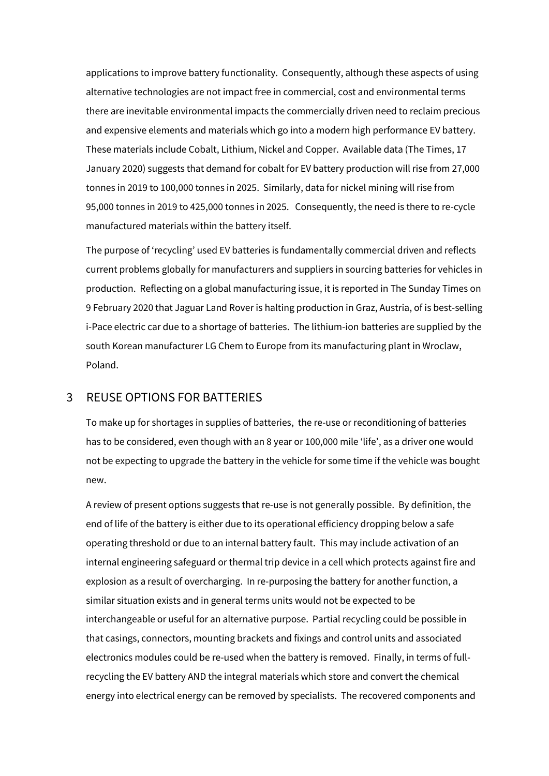applications to improve battery functionality. Consequently, although these aspects of using alternative technologies are not impact free in commercial, cost and environmental terms there are inevitable environmental impacts the commercially driven need to reclaim precious and expensive elements and materials which go into a modern high performance EV battery. These materials include Cobalt, Lithium, Nickel and Copper. Available data (The Times, 17 January 2020) suggests that demand for cobalt for EV battery production will rise from 27,000 tonnes in 2019 to 100,000 tonnes in 2025. Similarly, data for nickel mining will rise from 95,000 tonnes in 2019 to 425,000 tonnes in 2025. Consequently, the need is there to re-cycle manufactured materials within the battery itself.

The purpose of 'recycling' used EV batteries is fundamentally commercial driven and reflects current problems globally for manufacturers and suppliers in sourcing batteries for vehicles in production. Reflecting on a global manufacturing issue, it is reported in The Sunday Times on 9 February 2020 that Jaguar Land Rover is halting production in Graz, Austria, of is best-selling i-Pace electric car due to a shortage of batteries. The lithium-ion batteries are supplied by the south Korean manufacturer LG Chem to Europe from its manufacturing plant in Wroclaw, Poland.

## 3 REUSE OPTIONS FOR BATTERIES

To make up for shortages in supplies of batteries, the re-use or reconditioning of batteries has to be considered, even though with an 8 year or 100,000 mile 'life', as a driver one would not be expecting to upgrade the battery in the vehicle for some time if the vehicle was bought new.

A review of present options suggests that re-use is not generally possible. By definition, the end of life of the battery is either due to its operational efficiency dropping below a safe operating threshold or due to an internal battery fault. This may include activation of an internal engineering safeguard or thermal trip device in a cell which protects against fire and explosion as a result of overcharging. In re-purposing the battery for another function, a similar situation exists and in general terms units would not be expected to be interchangeable or useful for an alternative purpose. Partial recycling could be possible in that casings, connectors, mounting brackets and fixings and control units and associated electronics modules could be re-used when the battery is removed. Finally, in terms of fullrecycling the EV battery AND the integral materials which store and convert the chemical energy into electrical energy can be removed by specialists. The recovered components and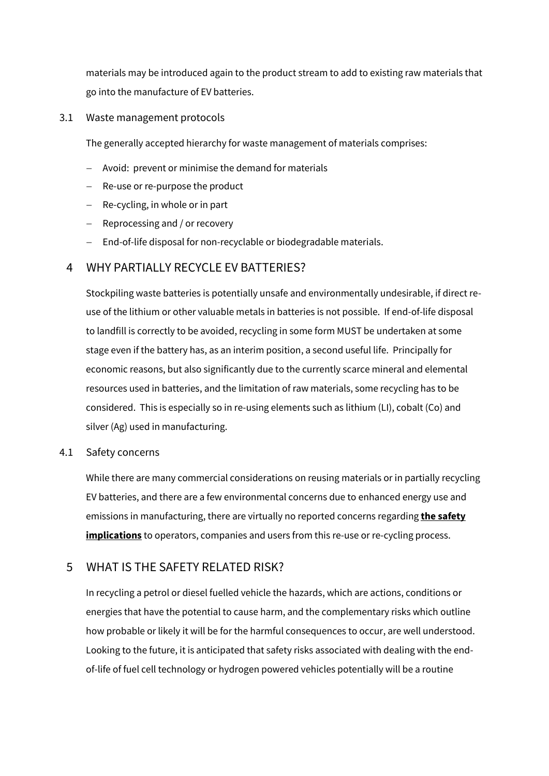materials may be introduced again to the product stream to add to existing raw materials that go into the manufacture of EV batteries.

3.1 Waste management protocols

The generally accepted hierarchy for waste management of materials comprises:

- − Avoid: prevent or minimise the demand for materials
- − Re-use or re-purpose the product
- − Re-cycling, in whole or in part
- − Reprocessing and / or recovery
- − End-of-life disposal for non-recyclable or biodegradable materials.

# 4 WHY PARTIALLY RECYCLE EV BATTERIES?

Stockpiling waste batteries is potentially unsafe and environmentally undesirable, if direct reuse of the lithium or other valuable metals in batteries is not possible. If end-of-life disposal to landfill is correctly to be avoided, recycling in some form MUST be undertaken at some stage even if the battery has, as an interim position, a second useful life. Principally for economic reasons, but also significantly due to the currently scarce mineral and elemental resources used in batteries, and the limitation of raw materials, some recycling has to be considered. This is especially so in re-using elements such as lithium (LI), cobalt (Co) and silver (Ag) used in manufacturing.

#### 4.1 Safety concerns

While there are many commercial considerations on reusing materials or in partially recycling EV batteries, and there are a few environmental concerns due to enhanced energy use and emissions in manufacturing, there are virtually no reported concerns regarding **the safety implications** to operators, companies and users from this re-use or re-cycling process.

# 5 WHAT IS THE SAFETY RELATED RISK?

In recycling a petrol or diesel fuelled vehicle the hazards, which are actions, conditions or energies that have the potential to cause harm, and the complementary risks which outline how probable or likely it will be for the harmful consequences to occur, are well understood. Looking to the future, it is anticipated that safety risks associated with dealing with the endof-life of fuel cell technology or hydrogen powered vehicles potentially will be a routine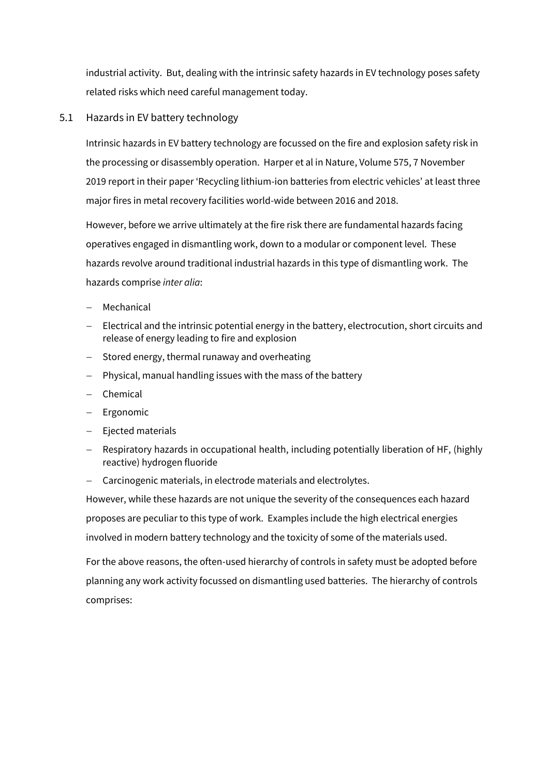industrial activity. But, dealing with the intrinsic safety hazards in EV technology poses safety related risks which need careful management today.

## 5.1 Hazards in EV battery technology

Intrinsic hazards in EV battery technology are focussed on the fire and explosion safety risk in the processing or disassembly operation. Harper et al in Nature, Volume 575, 7 November 2019 report in their paper 'Recycling lithium-ion batteries from electric vehicles' at least three major fires in metal recovery facilities world-wide between 2016 and 2018.

However, before we arrive ultimately at the fire risk there are fundamental hazards facing operatives engaged in dismantling work, down to a modular or component level. These hazards revolve around traditional industrial hazards in this type of dismantling work. The hazards comprise *inter alia*:

- − Mechanical
- − Electrical and the intrinsic potential energy in the battery, electrocution, short circuits and release of energy leading to fire and explosion
- − Stored energy, thermal runaway and overheating
- − Physical, manual handling issues with the mass of the battery
- − Chemical
- − Ergonomic
- − Ejected materials
- − Respiratory hazards in occupational health, including potentially liberation of HF, (highly reactive) hydrogen fluoride
- − Carcinogenic materials, in electrode materials and electrolytes.

However, while these hazards are not unique the severity of the consequences each hazard proposes are peculiar to this type of work. Examples include the high electrical energies involved in modern battery technology and the toxicity of some of the materials used.

For the above reasons, the often-used hierarchy of controls in safety must be adopted before planning any work activity focussed on dismantling used batteries. The hierarchy of controls comprises: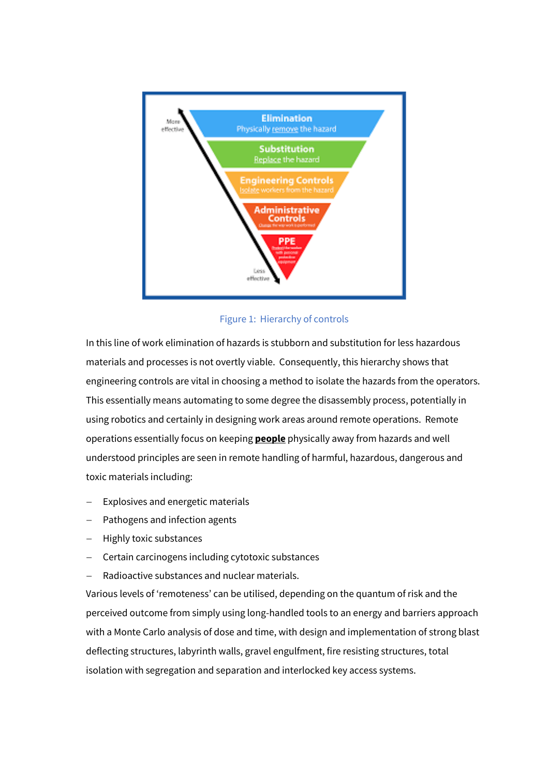

## Figure 1: Hierarchy of controls

In this line of work elimination of hazards is stubborn and substitution for less hazardous materials and processes is not overtly viable. Consequently, this hierarchy shows that engineering controls are vital in choosing a method to isolate the hazards from the operators. This essentially means automating to some degree the disassembly process, potentially in using robotics and certainly in designing work areas around remote operations. Remote operations essentially focus on keeping **people** physically away from hazards and well understood principles are seen in remote handling of harmful, hazardous, dangerous and toxic materials including:

- Explosives and energetic materials
- Pathogens and infection agents
- − Highly toxic substances
- − Certain carcinogens including cytotoxic substances
- − Radioactive substances and nuclear materials.

Various levels of 'remoteness' can be utilised, depending on the quantum of risk and the perceived outcome from simply using long-handled tools to an energy and barriers approach with a Monte Carlo analysis of dose and time, with design and implementation of strong blast deflecting structures, labyrinth walls, gravel engulfment, fire resisting structures, total isolation with segregation and separation and interlocked key access systems.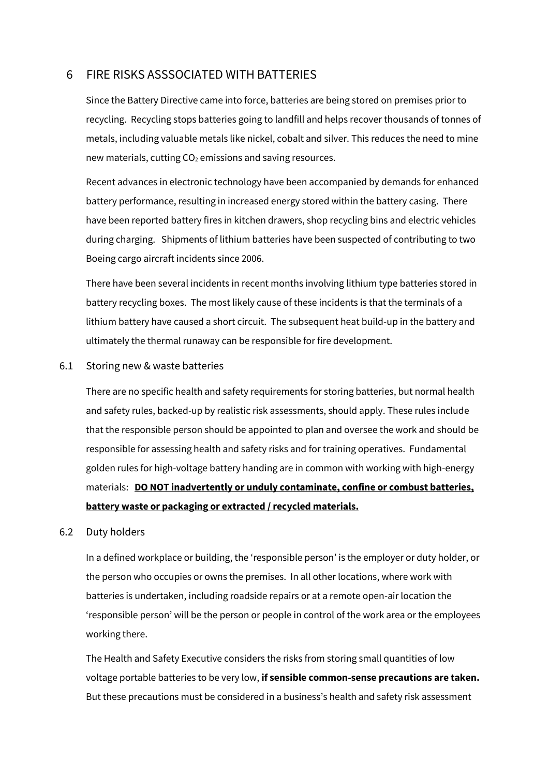## 6 FIRE RISKS ASSSOCIATED WITH BATTERIES

Since the Battery Directive came into force, batteries are being stored on premises prior to recycling. Recycling stops batteries going to landfill and helps recover thousands of tonnes of metals, including valuable metals like nickel, cobalt and silver. This reduces the need to mine new materials, cutting  $CO<sub>2</sub>$  emissions and saving resources.

Recent advances in electronic technology have been accompanied by demands for enhanced battery performance, resulting in increased energy stored within the battery casing. There have been reported battery fires in kitchen drawers, shop recycling bins and electric vehicles during charging. Shipments of lithium batteries have been suspected of contributing to two Boeing cargo aircraft incidents since 2006.

There have been several incidents in recent months involving lithium type batteries stored in battery recycling boxes. The most likely cause of these incidents is that the terminals of a lithium battery have caused a short circuit. The subsequent heat build-up in the battery and ultimately the thermal runaway can be responsible for fire development.

6.1 Storing new & waste batteries

There are no specific health and safety requirements for storing batteries, but normal health and safety rules, backed-up by realistic risk assessments, should apply. These rules include that the responsible person should be appointed to plan and oversee the work and should be responsible for assessing health and safety risks and for training operatives. Fundamental golden rules for high-voltage battery handing are in common with working with high-energy materials: **DO NOT inadvertently or unduly contaminate, confine or combust batteries, battery waste or packaging or extracted / recycled materials.**

#### 6.2 Duty holders

In a defined workplace or building, the 'responsible person' is the employer or duty holder, or the person who occupies or owns the premises. In all other locations, where work with batteries is undertaken, including roadside repairs or at a remote open-air location the 'responsible person' will be the person or people in control of the work area or the employees working there.

The Health and Safety Executive considers the risks from storing small quantities of low voltage portable batteries to be very low, **if sensible common-sense precautions are taken.** But these precautions must be considered in a business's health and safety risk assessment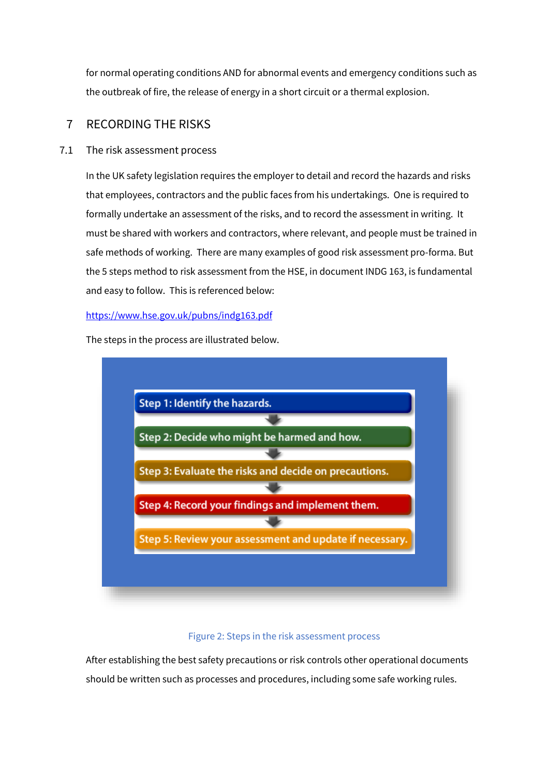for normal operating conditions AND for abnormal events and emergency conditions such as the outbreak of fire, the release of energy in a short circuit or a thermal explosion.

# 7 RECORDING THE RISKS

### 7.1 The risk assessment process

In the UK safety legislation requires the employer to detail and record the hazards and risks that employees, contractors and the public faces from his undertakings. One is required to formally undertake an assessment of the risks, and to record the assessment in writing. It must be shared with workers and contractors, where relevant, and people must be trained in safe methods of working. There are many examples of good risk assessment pro-forma. But the 5 steps method to risk assessment from the HSE, in document INDG 163, is fundamental and easy to follow. This is referenced below:

#### <https://www.hse.gov.uk/pubns/indg163.pdf>

The steps in the process are illustrated below.



#### Figure 2: Steps in the risk assessment process

After establishing the best safety precautions or risk controls other operational documents should be written such as processes and procedures, including some safe working rules.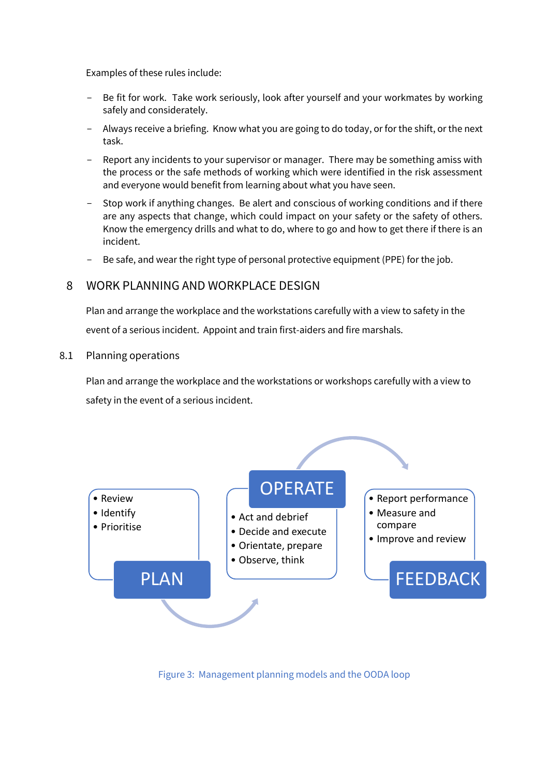Examples of these rules include:

- Be fit for work. Take work seriously, look after yourself and your workmates by working safely and considerately.
- Always receive a briefing. Know what you are going to do today, or for the shift, or the next task.
- Report any incidents to your supervisor or manager. There may be something amiss with the process or the safe methods of working which were identified in the risk assessment and everyone would benefit from learning about what you have seen.
- Stop work if anything changes. Be alert and conscious of working conditions and if there are any aspects that change, which could impact on your safety or the safety of others. Know the emergency drills and what to do, where to go and how to get there if there is an incident.
- Be safe, and wear the right type of personal protective equipment (PPE) for the job.

## 8 WORK PLANNING AND WORKPLACE DESIGN

Plan and arrange the workplace and the workstations carefully with a view to safety in the event of a serious incident. Appoint and train first-aiders and fire marshals.

#### 8.1 Planning operations

Plan and arrange the workplace and the workstations or workshops carefully with a view to safety in the event of a serious incident.



Figure 3: Management planning models and the OODA loop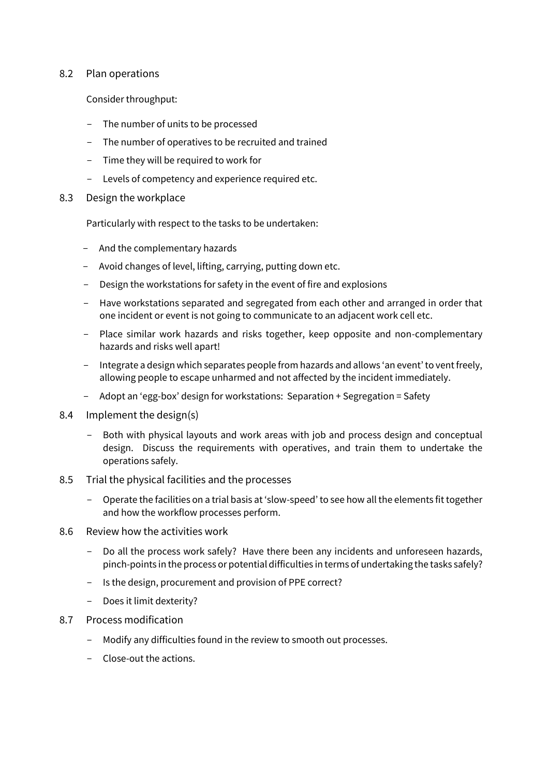### 8.2 Plan operations

Consider throughput:

- The number of units to be processed
- The number of operatives to be recruited and trained
- Time they will be required to work for
- Levels of competency and experience required etc.
- 8.3 Design the workplace

Particularly with respect to the tasks to be undertaken:

- And the complementary hazards
- Avoid changes of level, lifting, carrying, putting down etc.
- Design the workstations for safety in the event of fire and explosions
- Have workstations separated and segregated from each other and arranged in order that one incident or event is not going to communicate to an adjacent work cell etc.
- Place similar work hazards and risks together, keep opposite and non-complementary hazards and risks well apart!
- Integrate a design which separates people from hazards and allows 'an event' to vent freely, allowing people to escape unharmed and not affected by the incident immediately.
- Adopt an 'egg-box' design for workstations: Separation + Segregation = Safety
- 8.4 Implement the design(s)
	- Both with physical layouts and work areas with job and process design and conceptual design. Discuss the requirements with operatives, and train them to undertake the operations safely.
- 8.5 Trial the physical facilities and the processes
	- Operate the facilities on a trial basis at 'slow-speed' to see how all the elements fit together and how the workflow processes perform.
- 8.6 Review how the activities work
	- Do all the process work safely? Have there been any incidents and unforeseen hazards, pinch-points in the process or potential difficulties in terms of undertaking the tasks safely?
	- Is the design, procurement and provision of PPE correct?
	- Does it limit dexterity?
- 8.7 Process modification
	- Modify any difficulties found in the review to smooth out processes.
	- Close-out the actions.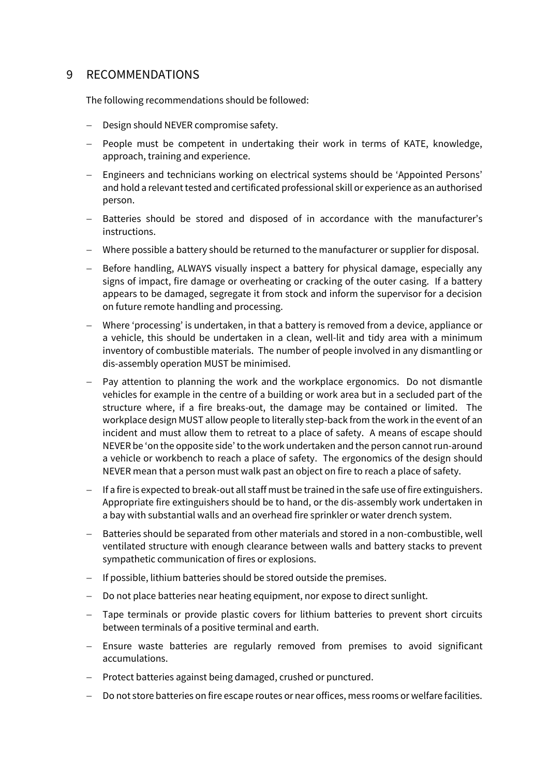## 9 RECOMMENDATIONS

The following recommendations should be followed:

- − Design should NEVER compromise safety.
- − People must be competent in undertaking their work in terms of KATE, knowledge, approach, training and experience.
- − Engineers and technicians working on electrical systems should be 'Appointed Persons' and hold a relevant tested and certificated professional skill or experience as an authorised person.
- Batteries should be stored and disposed of in accordance with the manufacturer's instructions.
- − Where possible a battery should be returned to the manufacturer or supplier for disposal.
- − Before handling, ALWAYS visually inspect a battery for physical damage, especially any signs of impact, fire damage or overheating or cracking of the outer casing. If a battery appears to be damaged, segregate it from stock and inform the supervisor for a decision on future remote handling and processing.
- − Where 'processing' is undertaken, in that a battery is removed from a device, appliance or a vehicle, this should be undertaken in a clean, well-lit and tidy area with a minimum inventory of combustible materials. The number of people involved in any dismantling or dis-assembly operation MUST be minimised.
- − Pay attention to planning the work and the workplace ergonomics. Do not dismantle vehicles for example in the centre of a building or work area but in a secluded part of the structure where, if a fire breaks-out, the damage may be contained or limited. The workplace design MUST allow people to literally step-back from the work in the event of an incident and must allow them to retreat to a place of safety. A means of escape should NEVER be 'on the opposite side' to the work undertaken and the person cannot run-around a vehicle or workbench to reach a place of safety. The ergonomics of the design should NEVER mean that a person must walk past an object on fire to reach a place of safety.
- − If a fire is expected to break-out all staff must be trained in the safe use of fire extinguishers. Appropriate fire extinguishers should be to hand, or the dis-assembly work undertaken in a bay with substantial walls and an overhead fire sprinkler or water drench system.
- − Batteries should be separated from other materials and stored in a non-combustible, well ventilated structure with enough clearance between walls and battery stacks to prevent sympathetic communication of fires or explosions.
- − If possible, lithium batteries should be stored outside the premises.
- − Do not place batteries near heating equipment, nor expose to direct sunlight.
- − Tape terminals or provide plastic covers for lithium batteries to prevent short circuits between terminals of a positive terminal and earth.
- − Ensure waste batteries are regularly removed from premises to avoid significant accumulations.
- − Protect batteries against being damaged, crushed or punctured.
- − Do not store batteries on fire escape routes or near offices, mess rooms or welfare facilities.